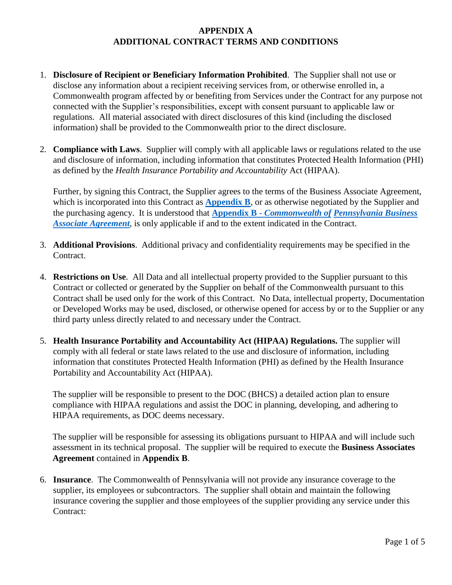# **APPENDIX A ADDITIONAL CONTRACT TERMS AND CONDITIONS**

- 1. **Disclosure of Recipient or Beneficiary Information Prohibited**. The Supplier shall not use or disclose any information about a recipient receiving services from, or otherwise enrolled in, a Commonwealth program affected by or benefiting from Services under the Contract for any purpose not connected with the Supplier's responsibilities, except with consent pursuant to applicable law or regulations. All material associated with direct disclosures of this kind (including the disclosed information) shall be provided to the Commonwealth prior to the direct disclosure.
- 2. **Compliance with Laws**. Supplier will comply with all applicable laws or regulations related to the use and disclosure of information, including information that constitutes Protected Health Information (PHI) as defined by the *Health Insurance Portability and Accountability* Act (HIPAA).

Further, by signing this Contract, the Supplier agrees to the terms of the Business Associate Agreement, which is incorporated into this Contract as **Appendix B**, or as otherwise negotiated by the Supplier and the purchasing agency. It is understood that **Appendix B -** *Commonwealth of Pennsylvania Business Associate Agreement*, is only applicable if and to the extent indicated in the Contract.

- 3. **Additional Provisions**. Additional privacy and confidentiality requirements may be specified in the Contract.
- 4. **Restrictions on Use**. All Data and all intellectual property provided to the Supplier pursuant to this Contract or collected or generated by the Supplier on behalf of the Commonwealth pursuant to this Contract shall be used only for the work of this Contract. No Data, intellectual property, Documentation or Developed Works may be used, disclosed, or otherwise opened for access by or to the Supplier or any third party unless directly related to and necessary under the Contract.
- 5. **Health Insurance Portability and Accountability Act (HIPAA) Regulations.** The supplier will comply with all federal or state laws related to the use and disclosure of information, including information that constitutes Protected Health Information (PHI) as defined by the Health Insurance Portability and Accountability Act (HIPAA).

The supplier will be responsible to present to the DOC (BHCS) a detailed action plan to ensure compliance with HIPAA regulations and assist the DOC in planning, developing, and adhering to HIPAA requirements, as DOC deems necessary.

The supplier will be responsible for assessing its obligations pursuant to HIPAA and will include such assessment in its technical proposal. The supplier will be required to execute the **Business Associates Agreement** contained in **Appendix B**.

6. **Insurance**. The Commonwealth of Pennsylvania will not provide any insurance coverage to the supplier, its employees or subcontractors. The supplier shall obtain and maintain the following insurance covering the supplier and those employees of the supplier providing any service under this Contract: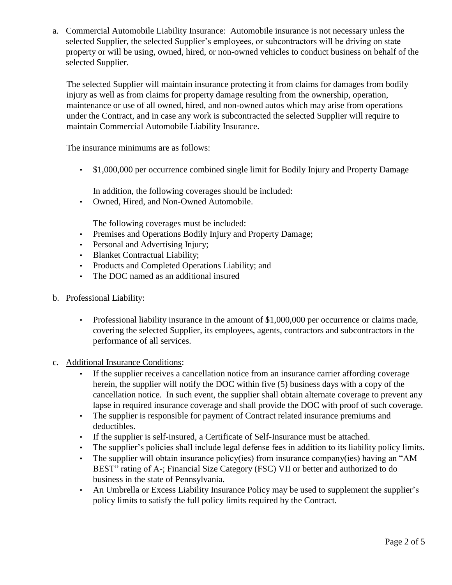a. Commercial Automobile Liability Insurance: Automobile insurance is not necessary unless the selected Supplier, the selected Supplier's employees, or subcontractors will be driving on state property or will be using, owned, hired, or non-owned vehicles to conduct business on behalf of the selected Supplier.

The selected Supplier will maintain insurance protecting it from claims for damages from bodily injury as well as from claims for property damage resulting from the ownership, operation, maintenance or use of all owned, hired, and non-owned autos which may arise from operations under the Contract, and in case any work is subcontracted the selected Supplier will require to maintain Commercial Automobile Liability Insurance.

The insurance minimums are as follows:

• \$1,000,000 per occurrence combined single limit for Bodily Injury and Property Damage

In addition, the following coverages should be included:

• Owned, Hired, and Non-Owned Automobile.

The following coverages must be included:

- Premises and Operations Bodily Injury and Property Damage;
- Personal and Advertising Injury;
- Blanket Contractual Liability;
- Products and Completed Operations Liability; and
- The DOC named as an additional insured
- b. Professional Liability:
	- Professional liability insurance in the amount of \$1,000,000 per occurrence or claims made, covering the selected Supplier, its employees, agents, contractors and subcontractors in the performance of all services.
- c. Additional Insurance Conditions:
	- If the supplier receives a cancellation notice from an insurance carrier affording coverage herein, the supplier will notify the DOC within five (5) business days with a copy of the cancellation notice. In such event, the supplier shall obtain alternate coverage to prevent any lapse in required insurance coverage and shall provide the DOC with proof of such coverage.
	- The supplier is responsible for payment of Contract related insurance premiums and deductibles.
	- If the supplier is self-insured, a Certificate of Self-Insurance must be attached.
	- The supplier's policies shall include legal defense fees in addition to its liability policy limits.
	- The supplier will obtain insurance policy(ies) from insurance company(ies) having an "AM BEST" rating of A-; Financial Size Category (FSC) VII or better and authorized to do business in the state of Pennsylvania.
	- An Umbrella or Excess Liability Insurance Policy may be used to supplement the supplier's policy limits to satisfy the full policy limits required by the Contract.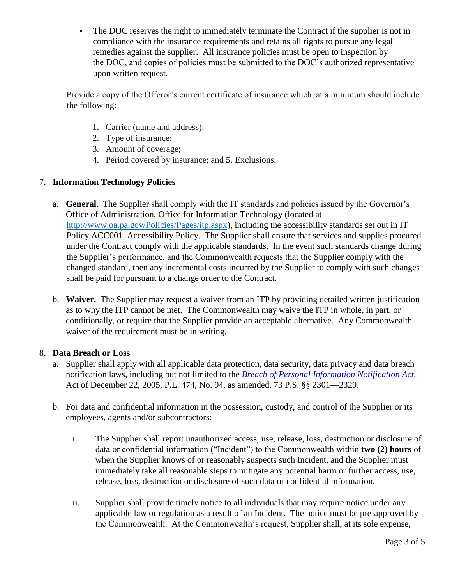• The DOC reserves the right to immediately terminate the Contract if the supplier is not in compliance with the insurance requirements and retains all rights to pursue any legal remedies against the supplier. All insurance policies must be open to inspection by the DOC, and copies of policies must be submitted to the DOC's authorized representative upon written request.

Provide a copy of the Offeror's current certificate of insurance which, at a minimum should include the following:

- 1. Carrier (name and address);
- 2. Type of insurance;
- 3. Amount of coverage;
- 4. Period covered by insurance; and 5. Exclusions.

### 7. **Information Technology Policies**

- a. **General.** The Supplier shall comply with the IT standards and policies issued by the Governor's Office of Administration, Office for Information Technology (located at [http://www.oa.pa.gov/Policies/Pages/itp.aspx\),](http://www.oa.pa.gov/Policies/Pages/itp.aspx) including the accessibility standards set out in IT Policy ACC001, Accessibility Policy. The Supplier shall ensure that services and supplies procured under the Contract comply with the applicable standards. In the event such standards change during the Supplier's performance, and the Commonwealth requests that the Supplier comply with the changed standard, then any incremental costs incurred by the Supplier to comply with such changes shall be paid for pursuant to a change order to the Contract.
- b. **Waiver.** The Supplier may request a waiver from an ITP by providing detailed written justification as to why the ITP cannot be met. The Commonwealth may waive the ITP in whole, in part, or conditionally, or require that the Supplier provide an acceptable alternative. Any Commonwealth waiver of the requirement must be in writing.

### 8. **Data Breach or Loss**

- a. Supplier shall apply with all applicable data protection, data security, data privacy and data breach notification laws, including but not limited to the *[Breach of Personal Information Notification Act,](http://www.legis.state.pa.us/cfdocs/Legis/LI/uconsCheck.cfm?txtType=HTM&yr=2005&sessInd=0&smthLwInd=0&act=0094.)* Act of December 22, 2005, P.L. 474, No. 94, as amended, 73 P.S. §§ 2301—2329.
- b. For data and confidential information in the possession, custody, and control of the Supplier or its employees, agents and/or subcontractors:
	- i. The Supplier shall report unauthorized access, use, release, loss, destruction or disclosure of data or confidential information ("Incident") to the Commonwealth within **two (2) hours** of when the Supplier knows of or reasonably suspects such Incident, and the Supplier must immediately take all reasonable steps to mitigate any potential harm or further access, use, release, loss, destruction or disclosure of such data or confidential information.
	- ii. Supplier shall provide timely notice to all individuals that may require notice under any applicable law or regulation as a result of an Incident. The notice must be pre-approved by the Commonwealth. At the Commonwealth's request, Supplier shall, at its sole expense,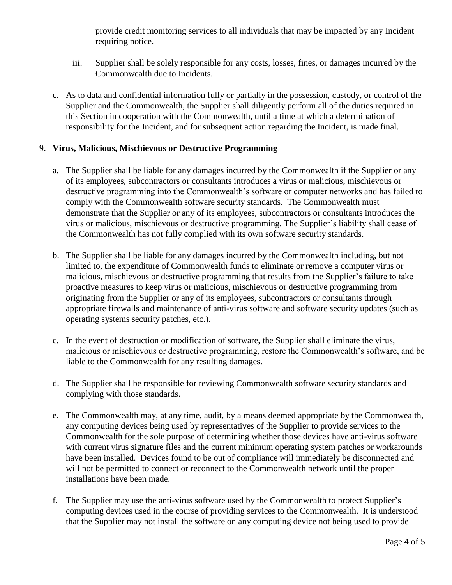provide credit monitoring services to all individuals that may be impacted by any Incident requiring notice.

- iii. Supplier shall be solely responsible for any costs, losses, fines, or damages incurred by the Commonwealth due to Incidents.
- c. As to data and confidential information fully or partially in the possession, custody, or control of the Supplier and the Commonwealth, the Supplier shall diligently perform all of the duties required in this Section in cooperation with the Commonwealth, until a time at which a determination of responsibility for the Incident, and for subsequent action regarding the Incident, is made final.

### 9. **Virus, Malicious, Mischievous or Destructive Programming**

- a. The Supplier shall be liable for any damages incurred by the Commonwealth if the Supplier or any of its employees, subcontractors or consultants introduces a virus or malicious, mischievous or destructive programming into the Commonwealth's software or computer networks and has failed to comply with the Commonwealth software security standards. The Commonwealth must demonstrate that the Supplier or any of its employees, subcontractors or consultants introduces the virus or malicious, mischievous or destructive programming. The Supplier's liability shall cease of the Commonwealth has not fully complied with its own software security standards.
- b. The Supplier shall be liable for any damages incurred by the Commonwealth including, but not limited to, the expenditure of Commonwealth funds to eliminate or remove a computer virus or malicious, mischievous or destructive programming that results from the Supplier's failure to take proactive measures to keep virus or malicious, mischievous or destructive programming from originating from the Supplier or any of its employees, subcontractors or consultants through appropriate firewalls and maintenance of anti-virus software and software security updates (such as operating systems security patches, etc.).
- c. In the event of destruction or modification of software, the Supplier shall eliminate the virus, malicious or mischievous or destructive programming, restore the Commonwealth's software, and be liable to the Commonwealth for any resulting damages.
- d. The Supplier shall be responsible for reviewing Commonwealth software security standards and complying with those standards.
- e. The Commonwealth may, at any time, audit, by a means deemed appropriate by the Commonwealth, any computing devices being used by representatives of the Supplier to provide services to the Commonwealth for the sole purpose of determining whether those devices have anti-virus software with current virus signature files and the current minimum operating system patches or workarounds have been installed. Devices found to be out of compliance will immediately be disconnected and will not be permitted to connect or reconnect to the Commonwealth network until the proper installations have been made.
- f. The Supplier may use the anti-virus software used by the Commonwealth to protect Supplier's computing devices used in the course of providing services to the Commonwealth. It is understood that the Supplier may not install the software on any computing device not being used to provide